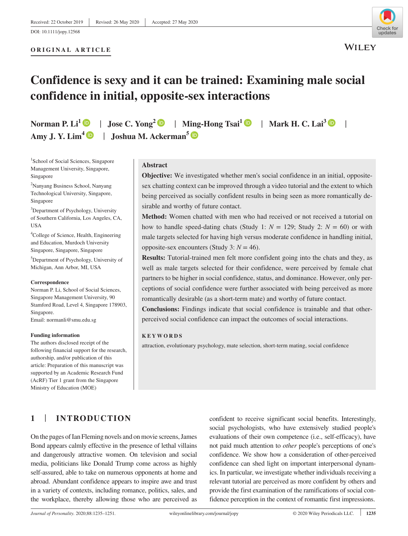## **ORIGINAL ARTICLE**



# **Confidence is sexy and it can be trained: Examining male social confidence in initial, opposite-sex interactions**

Norman P. Li<sup>[1](https://orcid.org/0000-0003-4524-2866)</sup>  $\bullet$  | Jose C. Yong<sup>[2](https://orcid.org/0000-0002-6413-2016)</sup>  $\bullet$  | Ming-Hong Tsai<sup>1</sup>  $\bullet$  | Mark H. C. Lai<sup>[3](https://orcid.org/0000-0002-9196-7406)</sup>  $\bullet$ Amy J. Y. Lim<sup>4</sup>  $\bullet$  | Joshua M. Ackerman<sup>[5](https://orcid.org/0000-0001-6322-2194)</sup>  $\bullet$ 

<sup>1</sup>School of Social Sciences, Singapore Management University, Singapore, Singapore

2 Nanyang Business School, Nanyang Technological University, Singapore, Singapore

<sup>3</sup>Department of Psychology, University of Southern California, Los Angeles, CA, **USA** 

4 College of Science, Health, Engineering and Education, Murdoch University Singapore, Singapore, Singapore

5 Department of Psychology, University of Michigan, Ann Arbor, MI, USA

#### **Correspondence**

Norman P. Li, School of Social Sciences, Singapore Management University, 90 Stamford Road, Level 4, Singapore 178903, Singapore. Email: [normanli@smu.edu.sg](mailto:normanli@smu.edu.sg)

#### **Funding information**

The authors disclosed receipt of the following financial support for the research, authorship, and/or publication of this article: Preparation of this manuscript was supported by an Academic Research Fund (AcRF) Tier 1 grant from the Singapore Ministry of Education (MOE)

#### **Abstract**

**Objective:** We investigated whether men's social confidence in an initial, oppositesex chatting context can be improved through a video tutorial and the extent to which being perceived as socially confident results in being seen as more romantically desirable and worthy of future contact.

**Method:** Women chatted with men who had received or not received a tutorial on how to handle speed-dating chats (Study 1:  $N = 129$ ; Study 2:  $N = 60$ ) or with male targets selected for having high versus moderate confidence in handling initial, opposite-sex encounters (Study 3:  $N = 46$ ).

**Results:** Tutorial-trained men felt more confident going into the chats and they, as well as male targets selected for their confidence, were perceived by female chat partners to be higher in social confidence, status, and dominance. However, only perceptions of social confidence were further associated with being perceived as more romantically desirable (as a short-term mate) and worthy of future contact.

**Conclusions:** Findings indicate that social confidence is trainable and that otherperceived social confidence can impact the outcomes of social interactions.

#### **KEYWORDS**

attraction, evolutionary psychology, mate selection, short-term mating, social confidence

# **1** | **INTRODUCTION**

On the pages of Ian Fleming novels and on movie screens, James Bond appears calmly effective in the presence of lethal villains and dangerously attractive women. On television and social media, politicians like Donald Trump come across as highly self-assured, able to take on numerous opponents at home and abroad. Abundant confidence appears to inspire awe and trust in a variety of contexts, including romance, politics, sales, and the workplace, thereby allowing those who are perceived as

confident to receive significant social benefits. Interestingly, social psychologists, who have extensively studied people's evaluations of their own competence (i.e., self-efficacy), have not paid much attention to *other* people's perceptions of one's confidence. We show how a consideration of other-perceived confidence can shed light on important interpersonal dynamics. In particular, we investigate whether individuals receiving a relevant tutorial are perceived as more confident by others and provide the first examination of the ramifications of social confidence perception in the context of romantic first impressions.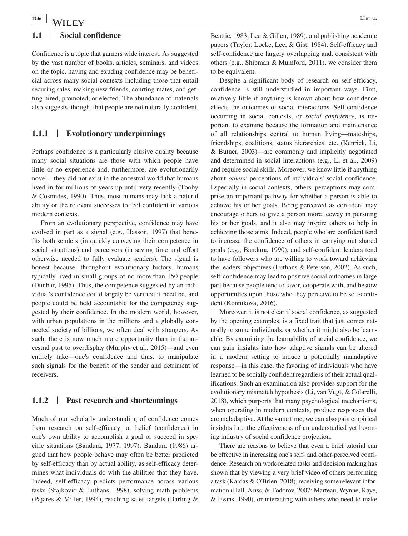#### **1.1** | **Social confidence**

Confidence is a topic that garners wide interest. As suggested by the vast number of books, articles, seminars, and videos on the topic, having and exuding confidence may be beneficial across many social contexts including those that entail securing sales, making new friends, courting mates, and getting hired, promoted, or elected. The abundance of materials also suggests, though, that people are not naturally confident.

#### **1.1.1** | **Evolutionary underpinnings**

Perhaps confidence is a particularly elusive quality because many social situations are those with which people have little or no experience and, furthermore, are evolutionarily novel––they did not exist in the ancestral world that humans lived in for millions of years up until very recently (Tooby & Cosmides, 1990). Thus, most humans may lack a natural ability or the relevant successes to feel confident in various modern contexts.

From an evolutionary perspective, confidence may have evolved in part as a signal (e.g., Hasson, 1997) that benefits both senders (in quickly conveying their competence in social situations) and perceivers (in saving time and effort otherwise needed to fully evaluate senders). The signal is honest because, throughout evolutionary history, humans typically lived in small groups of no more than 150 people (Dunbar, 1995). Thus, the competence suggested by an individual's confidence could largely be verified if need be, and people could be held accountable for the competency suggested by their confidence. In the modern world, however, with urban populations in the millions and a globally connected society of billions, we often deal with strangers. As such, there is now much more opportunity than in the ancestral past to overdisplay (Murphy et al., 2015)––and even entirely fake––one's confidence and thus, to manipulate such signals for the benefit of the sender and detriment of receivers.

## **1.1.2** | **Past research and shortcomings**

Much of our scholarly understanding of confidence comes from research on self-efficacy, or belief (confidence) in one's own ability to accomplish a goal or succeed in specific situations (Bandura, 1977, 1997). Bandura (1986) argued that how people behave may often be better predicted by self-efficacy than by actual ability, as self-efficacy determines what individuals do with the abilities that they have. Indeed, self-efficacy predicts performance across various tasks (Stajkovic & Luthans, 1998), solving math problems (Pajares & Miller, 1994), reaching sales targets (Barling & Beattie, 1983; Lee & Gillen, 1989), and publishing academic papers (Taylor, Locke, Lee, & Gist, 1984). Self-efficacy and self-confidence are largely overlapping and, consistent with others (e.g., Shipman & Mumford, 2011), we consider them to be equivalent.

Despite a significant body of research on self-efficacy, confidence is still understudied in important ways. First, relatively little if anything is known about how confidence affects the outcomes of social interactions. Self-confidence occurring in social contexts, or *social confidence*, is important to examine because the formation and maintenance of all relationships central to human living––mateships, friendships, coalitions, status hierarchies, etc. (Kenrick, Li, & Butner, 2003)––are commonly and implicitly negotiated and determined in social interactions (e.g., Li et al., 2009) and require social skills. Moreover, we know little if anything about *others'* perceptions of individuals' social confidence. Especially in social contexts, others' perceptions may comprise an important pathway for whether a person is able to achieve his or her goals. Being perceived as confident may encourage others to give a person more leeway in pursuing his or her goals, and it also may inspire others to help in achieving those aims. Indeed, people who are confident tend to increase the confidence of others in carrying out shared goals (e.g., Bandura, 1990), and self-confident leaders tend to have followers who are willing to work toward achieving the leaders' objectives (Luthans & Peterson, 2002). As such, self-confidence may lead to positive social outcomes in large part because people tend to favor, cooperate with, and bestow opportunities upon those who they perceive to be self-confident (Konnikova, 2016).

Moreover, it is not clear if social confidence, as suggested by the opening examples, is a fixed trait that just comes naturally to some individuals, or whether it might also be learnable. By examining the learnability of social confidence, we can gain insights into how adaptive signals can be altered in a modern setting to induce a potentially maladaptive response––in this case, the favoring of individuals who have learned to be socially confident regardless of their actual qualifications. Such an examination also provides support for the evolutionary mismatch hypothesis (Li, van Vugt, & Colarelli, 2018), which purports that many psychological mechanisms, when operating in modern contexts, produce responses that are maladaptive. At the same time, we can also gain empirical insights into the effectiveness of an understudied yet booming industry of social confidence projection.

There are reasons to believe that even a brief tutorial can be effective in increasing one's self- and other-perceived confidence. Research on work-related tasks and decision making has shown that by viewing a very brief video of others performing a task (Kardas & O'Brien, 2018), receiving some relevant information (Hall, Ariss, & Todorov, 2007; Marteau, Wynne, Kaye, & Evans, 1990), or interacting with others who need to make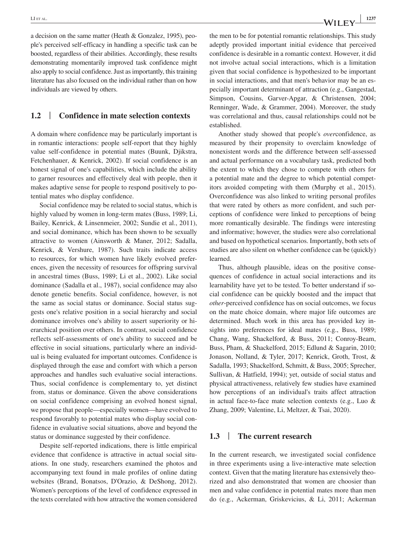a decision on the same matter (Heath & Gonzalez, 1995), people's perceived self-efficacy in handling a specific task can be boosted, regardless of their abilities. Accordingly, these results demonstrating momentarily improved task confidence might also apply to social confidence. Just as importantly, this training literature has also focused on the individual rather than on how individuals are viewed by others.

## **1.2** | **Confidence in mate selection contexts**

A domain where confidence may be particularly important is in romantic interactions: people self-report that they highly value self-confidence in potential mates (Buunk, Djikstra, Fetchenhauer, & Kenrick, 2002). If social confidence is an honest signal of one's capabilities, which include the ability to garner resources and effectively deal with people, then it makes adaptive sense for people to respond positively to potential mates who display confidence.

Social confidence may be related to social status, which is highly valued by women in long-term mates (Buss, 1989; Li, Bailey, Kenrick, & Linsenmeier, 2002; Sundie et al., 2011), and social dominance, which has been shown to be sexually attractive to women (Ainsworth & Maner, 2012; Sadalla, Kenrick, & Vershure, 1987). Such traits indicate access to resources, for which women have likely evolved preferences, given the necessity of resources for offspring survival in ancestral times (Buss, 1989; Li et al., 2002). Like social dominance (Sadalla et al., 1987), social confidence may also denote genetic benefits. Social confidence, however, is not the same as social status or dominance. Social status suggests one's relative position in a social hierarchy and social dominance involves one's ability to assert superiority or hierarchical position over others. In contrast, social confidence reflects self-assessments of one's ability to succeed and be effective in social situations, particularly where an individual is being evaluated for important outcomes. Confidence is displayed through the ease and comfort with which a person approaches and handles such evaluative social interactions. Thus, social confidence is complementary to, yet distinct from, status or dominance. Given the above considerations on social confidence comprising an evolved honest signal, we propose that people––especially women––have evolved to respond favorably to potential mates who display social confidence in evaluative social situations, above and beyond the status or dominance suggested by their confidence.

Despite self-reported indications, there is little empirical evidence that confidence is attractive in actual social situations. In one study, researchers examined the photos and accompanying text found in male profiles of online dating websites (Brand, Bonatsos, D'Orazio, & DeShong, 2012). Women's perceptions of the level of confidence expressed in the texts correlated with how attractive the women considered the men to be for potential romantic relationships. This study adeptly provided important initial evidence that perceived confidence is desirable in a romantic context. However, it did not involve actual social interactions, which is a limitation given that social confidence is hypothesized to be important in social interactions, and that men's behavior may be an especially important determinant of attraction (e.g., Gangestad, Simpson, Cousins, Garver-Apgar, & Christensen, 2004; Renninger, Wade, & Grammer, 2004). Moreover, the study was correlational and thus, causal relationships could not be established.

Another study showed that people's *over*confidence, as measured by their propensity to overclaim knowledge of nonexistent words and the difference between self-assessed and actual performance on a vocabulary task, predicted both the extent to which they chose to compete with others for a potential mate and the degree to which potential competitors avoided competing with them (Murphy et al., 2015). Overconfidence was also linked to writing personal profiles that were rated by others as more confident, and such perceptions of confidence were linked to perceptions of being more romantically desirable. The findings were interesting and informative; however, the studies were also correlational and based on hypothetical scenarios. Importantly, both sets of studies are also silent on whether confidence can be (quickly) learned.

Thus, although plausible, ideas on the positive consequences of confidence in actual social interactions and its learnability have yet to be tested. To better understand if social confidence can be quickly boosted and the impact that *other*-perceived confidence has on social outcomes, we focus on the mate choice domain, where major life outcomes are determined. Much work in this area has provided key insights into preferences for ideal mates (e.g., Buss, 1989; Chang, Wang, Shackelford, & Buss, 2011; Conroy-Beam, Buss, Pham, & Shackelford, 2015; Edlund & Sagarin, 2010; Jonason, Nolland, & Tyler, 2017; Kenrick, Groth, Trost, & Sadalla, 1993; Shackelford, Schmitt, & Buss, 2005; Sprecher, Sullivan, & Hatfield, 1994); yet, outside of social status and physical attractiveness, relatively few studies have examined how perceptions of an individual's traits affect attraction in actual face-to-face mate selection contexts (e.g., Luo & Zhang, 2009; Valentine, Li, Meltzer, & Tsai, 2020).

## **1.3** | **The current research**

In the current research, we investigated social confidence in three experiments using a live-interactive mate selection context. Given that the mating literature has extensively theorized and also demonstrated that women are choosier than men and value confidence in potential mates more than men do (e.g., Ackerman, Griskevicius, & Li, 2011; Ackerman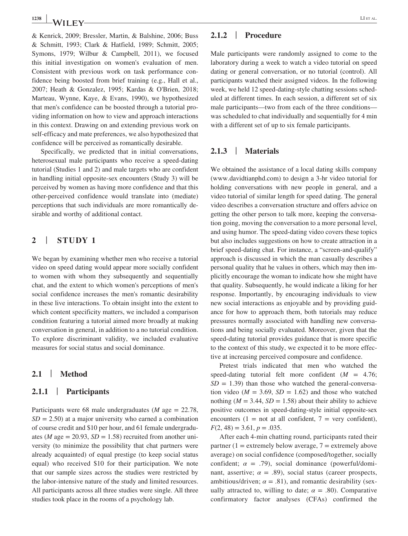& Kenrick, 2009; Bressler, Martin, & Balshine, 2006; Buss & Schmitt, 1993; Clark & Hatfield, 1989; Schmitt, 2005; Symons, 1979; Wilbur & Campbell, 2011), we focused this initial investigation on women's evaluation of men. Consistent with previous work on task performance confidence being boosted from brief training (e.g., Hall et al., 2007; Heath & Gonzalez, 1995; Kardas & O'Brien, 2018; Marteau, Wynne, Kaye, & Evans, 1990), we hypothesized that men's confidence can be boosted through a tutorial providing information on how to view and approach interactions in this context. Drawing on and extending previous work on self-efficacy and mate preferences, we also hypothesized that confidence will be perceived as romantically desirable.

Specifically, we predicted that in initial conversations, heterosexual male participants who receive a speed-dating tutorial (Studies 1 and 2) and male targets who are confident in handling initial opposite-sex encounters (Study 3) will be perceived by women as having more confidence and that this other-perceived confidence would translate into (mediate) perceptions that such individuals are more romantically desirable and worthy of additional contact.

# **2** | **STUDY 1**

We began by examining whether men who receive a tutorial video on speed dating would appear more socially confident to women with whom they subsequently and sequentially chat, and the extent to which women's perceptions of men's social confidence increases the men's romantic desirability in these live interactions. To obtain insight into the extent to which content specificity matters, we included a comparison condition featuring a tutorial aimed more broadly at making conversation in general, in addition to a no tutorial condition. To explore discriminant validity, we included evaluative measures for social status and social dominance.

# **2.1** | **Method**

#### **2.1.1** | **Participants**

Participants were 68 male undergraduates (*M* age = 22.78,  $SD = 2.50$ ) at a major university who earned a combination of course credit and \$10 per hour, and 61 female undergraduates (*M* age  $= 20.93$ , *SD*  $= 1.58$ ) recruited from another university (to minimize the possibility that chat partners were already acquainted) of equal prestige (to keep social status equal) who received \$10 for their participation. We note that our sample sizes across the studies were restricted by the labor-intensive nature of the study and limited resources. All participants across all three studies were single. All three studies took place in the rooms of a psychology lab.

## **2.1.2** | **Procedure**

Male participants were randomly assigned to come to the laboratory during a week to watch a video tutorial on speed dating or general conversation, or no tutorial (control). All participants watched their assigned videos. In the following week, we held 12 speed-dating-style chatting sessions scheduled at different times. In each session, a different set of six male participants––two from each of the three conditions–– was scheduled to chat individually and sequentially for 4 min with a different set of up to six female participants.

## **2.1.3** | **Materials**

We obtained the assistance of a local dating skills company ([www.davidtianphd.com\)](http://www.davidtianphd.com) to design a 3-hr video tutorial for holding conversations with new people in general, and a video tutorial of similar length for speed dating. The general video describes a conversation structure and offers advice on getting the other person to talk more, keeping the conversation going, moving the conversation to a more personal level, and using humor. The speed-dating video covers these topics but also includes suggestions on how to create attraction in a brief speed-dating chat. For instance, a "screen-and-qualify" approach is discussed in which the man casually describes a personal quality that he values in others, which may then implicitly encourage the woman to indicate how she might have that quality. Subsequently, he would indicate a liking for her response. Importantly, by encouraging individuals to view new social interactions as enjoyable and by providing guidance for how to approach them, both tutorials may reduce pressures normally associated with handling new conversations and being socially evaluated. Moreover, given that the speed-dating tutorial provides guidance that is more specific to the context of this study, we expected it to be more effective at increasing perceived composure and confidence.

Pretest trials indicated that men who watched the speed-dating tutorial felt more confident  $(M = 4.76)$ ;  $SD = 1.39$ ) than those who watched the general-conversation video ( $M = 3.69$ ,  $SD = 1.62$ ) and those who watched nothing ( $M = 3.44$ ,  $SD = 1.58$ ) about their ability to achieve positive outcomes in speed-dating-style initial opposite-sex encounters (1 = not at all confident, 7 = very confident),  $F(2, 48) = 3.61, p = .035.$ 

After each 4-min chatting round, participants rated their partner (1 = extremely below average,  $7$  = extremely above average) on social confidence (composed/together, socially confident;  $\alpha = .79$ ), social dominance (powerful/dominant, assertive;  $\alpha = .89$ ), social status (career prospects, ambitious/driven;  $\alpha = .81$ ), and romantic desirability (sexually attracted to, willing to date;  $\alpha = .80$ ). Comparative confirmatory factor analyses (CFAs) confirmed the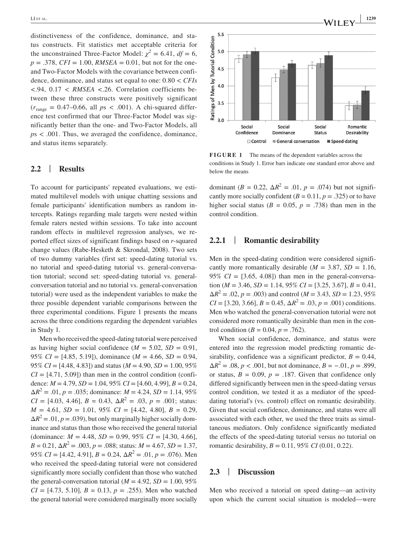distinctiveness of the confidence, dominance, and status constructs. Fit statistics met acceptable criteria for the unconstrained Three-Factor Model:  $\chi^2 = 6.41$ ,  $df = 6$ ,  $p = .378$ , *CFI* = 1.00, *RMSEA* = 0.01, but not for the oneand Two-Factor Models with the covariance between confidence, dominance, and status set equal to one: 0.80 < *CFIs <*.94, 0.17 < *RMSEA <*.26. Correlation coefficients between these three constructs were positively significant  $(r<sub>range</sub> = 0.47–0.66, all ps < .001)$ . A chi-squared difference test confirmed that our Three-Factor Model was significantly better than the one- and Two-Factor Models, all *p*s < .001. Thus, we averaged the confidence, dominance, and status items separately.

## **2.2** | **Results**

To account for participants' repeated evaluations, we estimated multilevel models with unique chatting sessions and female participants' identification numbers as random intercepts. Ratings regarding male targets were nested within female raters nested within sessions. To take into account random effects in multilevel regression analyses, we reported effect sizes of significant findings based on *r*-squared change values (Rabe-Hesketh & Skrondal, 2008). Two sets of two dummy variables (first set: speed-dating tutorial vs. no tutorial and speed-dating tutorial vs. general-conversation tutorial; second set: speed-dating tutorial vs. generalconversation tutorial and no tutorial vs. general-conversation tutorial) were used as the independent variables to make the three possible dependent variable comparisons between the three experimental conditions. Figure 1 presents the means across the three conditions regarding the dependent variables in Study 1.

Men who received the speed-dating tutorial were perceived as having higher social confidence  $(M = 5.02, SD = 0.91,$ 95% *CI* = [4.85, 5.19]), dominance (*M* = 4.66, *SD* = 0.94, 95% *CI* = [4.48, 4.83]) and status (*M* = 4.90, *SD* = 1.00, 95%  $CI = [4.71, 5.09]$ ) than men in the control condition (confidence: *M* = 4.79, *SD* = 1.04, 95% *CI* = [4.60, 4.99], *B =* 0.24,  $\Delta R^2 = .01, p = .035$ ; dominance:  $M = 4.24, SD = 1.14, 95\%$  $CI = [4.03, 4.46], B = 0.43, \Delta R^2 = .03, p = .001;$  status:  $M = 4.61$ ,  $SD = 1.01$ ,  $95\%$   $CI = [4.42, 4.80]$ ,  $B = 0.29$ ,  $\Delta R^2 = .01, p = .039$ , but only marginally higher socially dominance and status than those who received the general tutorial (dominance:  $M = 4.48$ ,  $SD = 0.99$ ,  $95\%$   $CI = [4.30, 4.66]$ ,  $B = 0.21$ ,  $\Delta R^2 = .003$ ,  $p = .088$ ; status:  $M = 4.67$ ,  $SD = 1.37$ , 95% *CI* = [4.42, 4.91], *B =* 0.24, Δ*R*<sup>2</sup> = .01, *p* = .076). Men who received the speed-dating tutorial were not considered significantly more socially confident than those who watched the general-conversation tutorial ( $M = 4.92$ ,  $SD = 1.00$ , 95%  $CI = [4.73, 5.10], B = 0.13, p = .255$ . Men who watched the general tutorial were considered marginally more socially



**FIGURE 1** The means of the dependent variables across the conditions in Study 1. Error bars indicate one standard error above and below the means

dominant (*B* = 0.22,  $\Delta R^2$  = .01, *p* = .074) but not significantly more socially confident  $(B = 0.11, p = .325)$  or to have higher social status ( $B = 0.05$ ,  $p = .738$ ) than men in the control condition.

# **2.2.1** | **Romantic desirability**

Men in the speed-dating condition were considered significantly more romantically desirable  $(M = 3.87, SD = 1.16,$ 95%  $CI = [3.65, 4.08]$  than men in the general-conversation ( $M = 3.46$ ,  $SD = 1.14$ ,  $95\% CI = [3.25, 3.67]$ ,  $B = 0.41$ ,  $\Delta R^2 = .02, p = .003$ ) and control ( $M = 3.43, SD = 1.23, 95\%$  $CI = [3.20, 3.66], B = 0.45, \Delta R^2 = .03, p = .001$  conditions. Men who watched the general-conversation tutorial were not considered more romantically desirable than men in the control condition ( $B = 0.04$ ,  $p = .762$ ).

When social confidence, dominance, and status were entered into the regression model predicting romantic desirability, confidence was a significant predictor,  $B = 0.44$ ,  $\Delta R^2 = .08, p < .001$ , but not dominance,  $B = -.01, p = .899$ , or status,  $B = 0.09$ ,  $p = .187$ . Given that confidence only differed significantly between men in the speed-dating versus control condition, we tested it as a mediator of the speeddating tutorial's (vs. control) effect on romantic desirability. Given that social confidence, dominance, and status were all associated with each other, we used the three traits as simultaneous mediators. Only confidence significantly mediated the effects of the speed-dating tutorial versus no tutorial on romantic desirability,  $B = 0.11$ , 95% *CI* (0.01, 0.22).

# **2.3** | **Discussion**

Men who received a tutorial on speed dating––an activity upon which the current social situation is modeled––were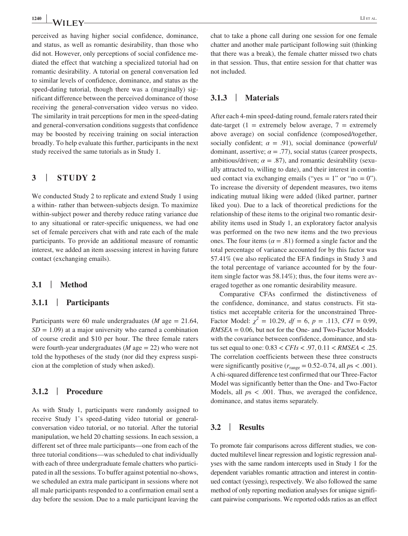perceived as having higher social confidence, dominance, and status, as well as romantic desirability, than those who did not. However, only perceptions of social confidence mediated the effect that watching a specialized tutorial had on romantic desirability. A tutorial on general conversation led to similar levels of confidence, dominance, and status as the speed-dating tutorial, though there was a (marginally) significant difference between the perceived dominance of those receiving the general-conversation video versus no video. The similarity in trait perceptions for men in the speed-dating and general-conversation conditions suggests that confidence may be boosted by receiving training on social interaction broadly. To help evaluate this further, participants in the next study received the same tutorials as in Study 1.

## **3** | **STUDY 2**

We conducted Study 2 to replicate and extend Study 1 using a within- rather than between-subjects design. To maximize within-subject power and thereby reduce rating variance due to any situational or rater-specific uniqueness, we had one set of female perceivers chat with and rate each of the male participants. To provide an additional measure of romantic interest, we added an item assessing interest in having future contact (exchanging emails).

# **3.1** | **Method**

#### **3.1.1** | **Participants**

Participants were 60 male undergraduates (*M* age = 21.64,  $SD = 1.09$ ) at a major university who earned a combination of course credit and \$10 per hour. The three female raters were fourth-year undergraduates (*M* age = 22) who were not told the hypotheses of the study (nor did they express suspicion at the completion of study when asked).

# **3.1.2** | **Procedure**

As with Study 1, participants were randomly assigned to receive Study 1's speed-dating video tutorial or generalconversation video tutorial, or no tutorial. After the tutorial manipulation, we held 20 chatting sessions. In each session, a different set of three male participants—one from each of the three tutorial conditions––was scheduled to chat individually with each of three undergraduate female chatters who participated in all the sessions. To buffer against potential no-shows, we scheduled an extra male participant in sessions where not all male participants responded to a confirmation email sent a day before the session. Due to a male participant leaving the

chat to take a phone call during one session for one female chatter and another male participant following suit (thinking that there was a break), the female chatter missed two chats in that session. Thus, that entire session for that chatter was not included.

## **3.1.3** | **Materials**

After each 4-min speed-dating round, female raters rated their date-target (1 = extremely below average, 7 = extremely above average) on social confidence (composed/together, socially confident;  $\alpha = .91$ ), social dominance (powerful) dominant, assertive;  $\alpha = .77$ ), social status (career prospects, ambitious/driven;  $\alpha = .87$ ), and romantic desirability (sexually attracted to, willing to date), and their interest in continued contact via exchanging emails ("yes =  $1$ " or "no = 0"). To increase the diversity of dependent measures, two items indicating mutual liking were added (liked partner, partner liked you). Due to a lack of theoretical predictions for the relationship of these items to the original two romantic desirability items used in Study 1, an exploratory factor analysis was performed on the two new items and the two previous ones. The four items ( $\alpha = .81$ ) formed a single factor and the total percentage of variance accounted for by this factor was 57.41% (we also replicated the EFA findings in Study 3 and the total percentage of variance accounted for by the fouritem single factor was 58.14%); thus, the four items were averaged together as one romantic desirability measure.

Comparative CFAs confirmed the distinctiveness of the confidence, dominance, and status constructs. Fit statistics met acceptable criteria for the unconstrained Three-Factor Model:  $\chi^2 = 10.29$ ,  $df = 6$ ,  $p = .113$ ,  $CFI = 0.99$ , *RMSEA* = 0.06, but not for the One- and Two-Factor Models with the covariance between confidence, dominance, and status set equal to one: 0.83 < *CFIs <* .97, 0.11 < *RMSEA <* .25. The correlation coefficients between these three constructs were significantly positive  $(r_{\text{range}} = 0.52{\text -}0.74, \text{ all } ps < .001)$ . A chi-squared difference test confirmed that our Three-Factor Model was significantly better than the One- and Two-Factor Models, all  $ps < .001$ . Thus, we averaged the confidence, dominance, and status items separately.

## **3.2** | **Results**

To promote fair comparisons across different studies, we conducted multilevel linear regression and logistic regression analyses with the same random intercepts used in Study 1 for the dependent variables romantic attraction and interest in continued contact (yessing), respectively. We also followed the same method of only reporting mediation analyses for unique significant pairwise comparisons. We reported odds ratios as an effect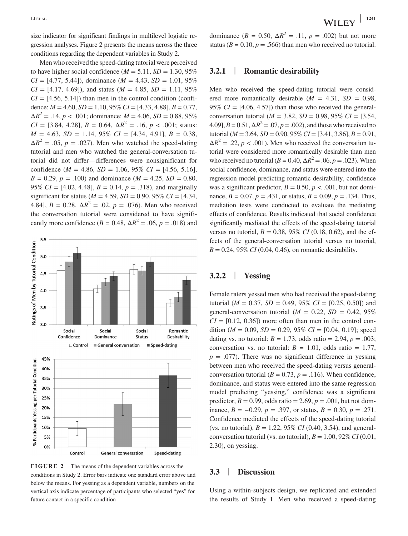size indicator for significant findings in multilevel logistic regression analyses. Figure 2 presents the means across the three conditions regarding the dependent variables in Study 2.

Men who received the speed-dating tutorial were perceived to have higher social confidence ( $M = 5.11$ ,  $SD = 1.30$ , 95%  $CI = [4.77, 5.44]$ , dominance (*M* = 4.43, *SD* = 1.01, 95%  $CI = [4.17, 4.69]$ , and status ( $M = 4.85$ ,  $SD = 1.11$ , 95%  $CI = [4.56, 5.14]$ ) than men in the control condition (confidence:  $M = 4.60$ ,  $SD = 1.10$ ,  $95\% CI = [4.33, 4.88]$ ,  $B = 0.77$ ,  $\Delta R^2 = .14, p < .001$ ; dominance:  $M = 4.06, SD = 0.88, 95\%$  $CI = [3.84, 4.28], B = 0.64, \Delta R^2 = .16, p < .001$ ; status:  $M = 4.63$ ,  $SD = 1.14$ ,  $95\%$   $CI = [4.34, 4.91]$ ,  $B = 0.38$ ,  $\Delta R^2$  = .05, *p* = .027). Men who watched the speed-dating tutorial and men who watched the general-conversation tutorial did not differ––differences were nonsignificant for confidence ( $M = 4.86$ ,  $SD = 1.06$ ,  $95\%$   $CI = [4.56, 5.16]$ ,  $B = 0.29$ ,  $p = .100$ ) and dominance ( $M = 4.25$ ,  $SD = 0.80$ , 95% *CI* = [4.02, 4.48], *B =* 0.14, *p* = .318), and marginally significant for status ( $M = 4.59$ ,  $SD = 0.90$ ,  $95\%$   $CI = [4.34]$ , 4.84],  $B = 0.28$ ,  $\Delta R^2 = 0.02$ ,  $p = 0.076$ ). Men who received the conversation tutorial were considered to have significantly more confidence ( $B = 0.48$ ,  $\Delta R^2 = .06$ ,  $p = .018$ ) and



conditions in Study 2. Error bars indicate one standard error above and below the means. For yessing as a dependent variable, numbers on the vertical axis indicate percentage of participants who selected "yes" for future contact in a specific condition

dominance ( $B = 0.50$ ,  $\Delta R^2 = .11$ ,  $p = .002$ ) but not more status ( $B = 0.10$ ,  $p = .566$ ) than men who received no tutorial.

#### **3.2.1** | **Romantic desirability**

Men who received the speed-dating tutorial were considered more romantically desirable  $(M = 4.31, SD = 0.98,$ 95%  $CI = [4.06, 4.57]$  than those who received the generalconversation tutorial (*M* = 3.82, *SD* = 0.98, 95% *CI* = [3.54,  $(4.09)$ ,  $B = 0.51$ ,  $\Delta R^2 = .07$ ,  $p = .002$ ), and those who received no tutorial (*M* = 3.64, *SD* = 0.90, 95% *CI* = [3.41, 3.86], *B =* 0.91,  $\Delta R^2 = 0.22$ ,  $p < 0.001$ ). Men who received the conversation tutorial were considered more romantically desirable than men who received no tutorial ( $B = 0.40$ ,  $\Delta R^2 = .06$ ,  $p = .023$ ). When social confidence, dominance, and status were entered into the regression model predicting romantic desirability, confidence was a significant predictor,  $B = 0.50$ ,  $p < .001$ , but not dominance,  $B = 0.07$ ,  $p = .431$ , or status,  $B = 0.09$ ,  $p = .134$ . Thus, mediation tests were conducted to evaluate the mediating effects of confidence. Results indicated that social confidence significantly mediated the effects of the speed-dating tutorial versus no tutorial,  $B = 0.38$ , 95% *CI* (0.18, 0.62), and the effects of the general-conversation tutorial versus no tutorial,  $B = 0.24, 95\% \, CI \, (0.04, 0.46)$ , on romantic desirability.

# **3.2.2** | **Yessing**

Female raters yessed men who had received the speed-dating tutorial ( $M = 0.37$ ,  $SD = 0.49$ ,  $95\%$   $CI = [0.25, 0.50]$ ) and general-conversation tutorial  $(M = 0.22, SD = 0.42, 95\%$  $CI = [0.12, 0.36]$  more often than men in the control condition ( $M = 0.09$ ,  $SD = 0.29$ , 95%  $CI = [0.04, 0.19]$ ; speed dating vs. no tutorial:  $B = 1.73$ , odds ratio = 2.94,  $p = .003$ ; conversation vs. no tutorial:  $B = 1.01$ , odds ratio = 1.77,  $p = .077$ ). There was no significant difference in yessing between men who received the speed-dating versus generalconversation tutorial ( $B = 0.73$ ,  $p = .116$ ). When confidence, dominance, and status were entered into the same regression model predicting "yessing," confidence was a significant predictor,  $B = 0.99$ , odds ratio = 2.69,  $p = .001$ , but not dominance, *B = −*0.29, *p* = .397, or status, *B =* 0.30, *p* = .271. Confidence mediated the effects of the speed-dating tutorial (vs. no tutorial),  $B = 1.22, 95\% \text{ CI}$  (0.40, 3.54), and generalconversation tutorial (vs. no tutorial),  $B = 1.00$ , 92% *CI* (0.01, 2.30), on yessing.

# **3.3** | **Discussion**

Using a within-subjects design, we replicated and extended the results of Study 1. Men who received a speed-dating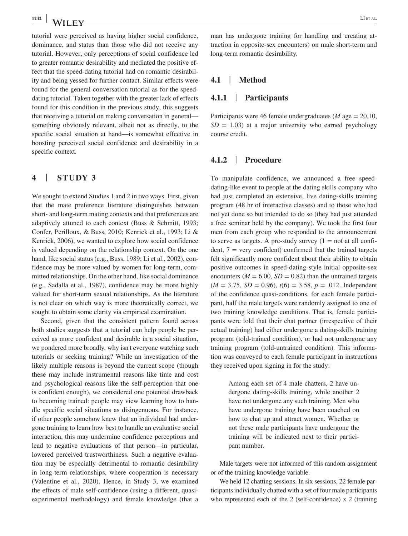tutorial were perceived as having higher social confidence, dominance, and status than those who did not receive any tutorial. However, only perceptions of social confidence led to greater romantic desirability and mediated the positive effect that the speed-dating tutorial had on romantic desirability and being yessed for further contact. Similar effects were found for the general-conversation tutorial as for the speeddating tutorial. Taken together with the greater lack of effects found for this condition in the previous study, this suggests that receiving a tutorial on making conversation in general–– something obviously relevant, albeit not as directly, to the specific social situation at hand––is somewhat effective in boosting perceived social confidence and desirability in a specific context.

## **4** | **STUDY 3**

We sought to extend Studies 1 and 2 in two ways. First, given that the mate preference literature distinguishes between short- and long-term mating contexts and that preferences are adaptively attuned to each context (Buss & Schmitt, 1993; Confer, Perilloux, & Buss, 2010; Kenrick et al., 1993; Li & Kenrick, 2006), we wanted to explore how social confidence is valued depending on the relationship context. On the one hand, like social status (e.g., Buss, 1989; Li et al., 2002), confidence may be more valued by women for long-term, committed relationships. On the other hand, like social dominance (e.g., Sadalla et al., 1987), confidence may be more highly valued for short-term sexual relationships. As the literature is not clear on which way is more theoretically correct, we sought to obtain some clarity via empirical examination.

Second, given that the consistent pattern found across both studies suggests that a tutorial can help people be perceived as more confident and desirable in a social situation, we pondered more broadly, why isn't everyone watching such tutorials or seeking training? While an investigation of the likely multiple reasons is beyond the current scope (though these may include instrumental reasons like time and cost and psychological reasons like the self-perception that one is confident enough), we considered one potential drawback to becoming trained: people may view learning how to handle specific social situations as disingenuous. For instance, if other people somehow knew that an individual had undergone training to learn how best to handle an evaluative social interaction, this may undermine confidence perceptions and lead to negative evaluations of that person––in particular, lowered perceived trustworthiness. Such a negative evaluation may be especially detrimental to romantic desirability in long-term relationships, where cooperation is necessary (Valentine et al., 2020). Hence, in Study 3, we examined the effects of male self-confidence (using a different, quasiexperimental methodology) and female knowledge (that a man has undergone training for handling and creating attraction in opposite-sex encounters) on male short-term and long-term romantic desirability.

## **4.1** | **Method**

#### **4.1.1** | **Participants**

Participants were 46 female undergraduates (*M* age = 20.10,  $SD = 1.03$ ) at a major university who earned psychology course credit.

#### **4.1.2** | **Procedure**

To manipulate confidence, we announced a free speeddating-like event to people at the dating skills company who had just completed an extensive, live dating-skills training program (48 hr of interactive classes) and to those who had not yet done so but intended to do so (they had just attended a free seminar held by the company). We took the first four men from each group who responded to the announcement to serve as targets. A pre-study survey  $(1 = not at all confi-)$ dent,  $7 = \text{very confident}$  confident) confirmed that the trained targets felt significantly more confident about their ability to obtain positive outcomes in speed-dating-style initial opposite-sex encounters ( $M = 6.00$ ,  $SD = 0.82$ ) than the untrained targets  $(M = 3.75, SD = 0.96), t(6) = 3.58, p = .012.$  Independent of the confidence quasi-conditions, for each female participant, half the male targets were randomly assigned to one of two training knowledge conditions. That is, female participants were told that their chat partner (irrespective of their actual training) had either undergone a dating-skills training program (told-trained condition), or had not undergone any training program (told-untrained condition). This information was conveyed to each female participant in instructions they received upon signing in for the study:

> Among each set of 4 male chatters, 2 have undergone dating-skills training, while another 2 have not undergone any such training. Men who have undergone training have been coached on how to chat up and attract women. Whether or not these male participants have undergone the training will be indicated next to their participant number.

Male targets were not informed of this random assignment or of the training knowledge variable.

We held 12 chatting sessions. In six sessions, 22 female participants individually chatted with a set of four male participants who represented each of the 2 (self-confidence) x 2 (training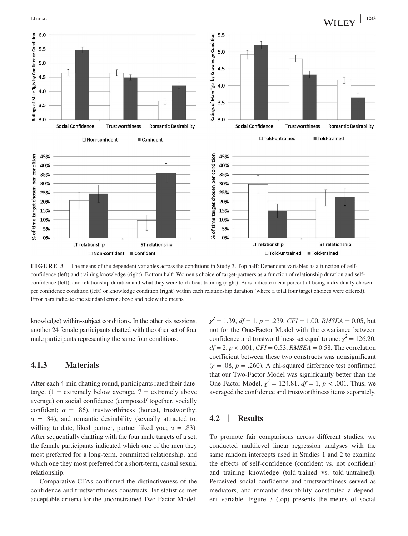

**FIGURE 3** The means of the dependent variables across the conditions in Study 3. Top half: Dependent variables as a function of selfconfidence (left) and training knowledge (right). Bottom half: Women's choice of target-partners as a function of relationship duration and selfconfidence (left), and relationship duration and what they were told about training (right). Bars indicate mean percent of being individually chosen per confidence condition (left) or knowledge condition (right) within each relationship duration (where a total four target choices were offered). Error bars indicate one standard error above and below the means

knowledge) within-subject conditions. In the other six sessions, another 24 female participants chatted with the other set of four male participants representing the same four conditions.

# **4.1.3** | **Materials**

After each 4-min chatting round, participants rated their datetarget (1 = extremely below average,  $7$  = extremely above average) on social confidence (composed/ together, socially confident;  $\alpha = .86$ ), trustworthiness (honest, trustworthy;  $\alpha$  = .84), and romantic desirability (sexually attracted to, willing to date, liked partner, partner liked you;  $\alpha = .83$ ). After sequentially chatting with the four male targets of a set, the female participants indicated which one of the men they most preferred for a long-term, committed relationship, and which one they most preferred for a short-term, casual sexual relationship.

Comparative CFAs confirmed the distinctiveness of the confidence and trustworthiness constructs. Fit statistics met acceptable criteria for the unconstrained Two-Factor Model:

*χ 2* = 1.39, *df* = 1, *p* = .239, *CFI* = 1.00, *RMSEA* = 0.05, but not for the One-Factor Model with the covariance between confidence and trustworthiness set equal to one:  $\chi^2 = 126.20$ ,  $df = 2$ ,  $p < .001$ ,  $CFI = 0.53$ , *RMSEA* = 0.58. The correlation coefficient between these two constructs was nonsignificant  $(r = .08, p = .260)$ . A chi-squared difference test confirmed that our Two-Factor Model was significantly better than the One-Factor Model,  $\chi^2 = 124.81$ ,  $df = 1$ ,  $p < .001$ . Thus, we averaged the confidence and trustworthiness items separately.

#### **4.2** | **Results**

To promote fair comparisons across different studies, we conducted multilevel linear regression analyses with the same random intercepts used in Studies 1 and 2 to examine the effects of self-confidence (confident vs. not confident) and training knowledge (told-trained vs. told-untrained). Perceived social confidence and trustworthiness served as mediators, and romantic desirability constituted a dependent variable. Figure 3 (top) presents the means of social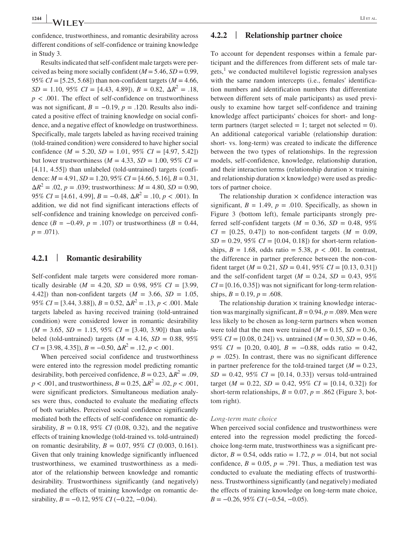confidence, trustworthiness, and romantic desirability across different conditions of self-confidence or training knowledge in Study 3.

Results indicated that self-confident male targets were perceived as being more socially confident ( $M = 5.46$ ,  $SD = 0.99$ , 95% *CI* = [5.25, 5.68]) than non-confident targets (*M* = 4.66,  $SD = 1.10, 95\% \ CI = [4.43, 4.89], B = 0.82, \Delta R^2 = .18,$  $p < .001$ . The effect of self-confidence on trustworthiness was not significant,  $B = -0.19$ ,  $p = .120$ . Results also indicated a positive effect of training knowledge on social confidence, and a negative effect of knowledge on trustworthiness. Specifically, male targets labeled as having received training (told-trained condition) were considered to have higher social confidence ( $M = 5.20$ ,  $SD = 1.01$ ,  $95\%$   $CI = [4.97, 5.42]$ ) but lower trustworthiness ( $M = 4.33$ ,  $SD = 1.00$ , 95%  $CI =$ [4.11, 4.55]) than unlabeled (told-untrained) targets (confidence: *M* = 4.91, *SD* = 1.20, 95% *CI* = [4.66, 5.16], *B =* 0.31,  $\Delta R^2 = .02$ , *p* = .039; trustworthiness: *M* = 4.80, *SD* = 0.90, 95% *CI* = [4.61, 4.99],  $B = -0.48$ ,  $\Delta R^2 = .10$ ,  $p < .001$ ). In addition, we did not find significant interactions effects of self-confidence and training knowledge on perceived confidence (*B = −*0.49, *p* = .107) or trustworthiness (*B =* 0.44,  $p = .071$ ).

#### **4.2.1** | **Romantic desirability**

Self-confident male targets were considered more romantically desirable ( $M = 4.20$ ,  $SD = 0.98$ ,  $95\%$   $CI = [3.99]$ , 4.42]) than non-confident targets  $(M = 3.66, SD = 1.05,$ 95% *CI* = [3.44, 3.88]), *B =* 0.52, Δ*R*<sup>2</sup> = .13, *p* < .001. Male targets labeled as having received training (told-untrained condition) were considered lower in romantic desirability  $(M = 3.65, SD = 1.15, 95\% \ CI = [3.40, 3.90])$  than unlabeled (told-untrained) targets ( $M = 4.16$ ,  $SD = 0.88$ , 95%  $CI = [3.98, 4.35], B = -0.50, \Delta R^2 = .12, p < .001.$ 

When perceived social confidence and trustworthiness were entered into the regression model predicting romantic desirability, both perceived confidence,  $B = 0.23$ ,  $\Delta R^2 = .09$ ,  $p < .001$ , and trustworthiness,  $B = 0.25$ ,  $\Delta R^2 = .02$ ,  $p < .001$ , were significant predictors. Simultaneous mediation analyses were thus, conducted to evaluate the mediating effects of both variables. Perceived social confidence significantly mediated both the effects of self-confidence on romantic desirability,  $B = 0.18, 95\% \text{ CI } (0.08, 0.32)$ , and the negative effects of training knowledge (told-trained vs. told-untrained) on romantic desirability, *B* = 0.07, 95% *CI* (0.003, 0.161). Given that only training knowledge significantly influenced trustworthiness, we examined trustworthiness as a mediator of the relationship between knowledge and romantic desirability. Trustworthiness significantly (and negatively) mediated the effects of training knowledge on romantic desirability,  $B = -0.12$ , 95% *CI* (-0.22, -0.04).

# **4.2.2** | **Relationship partner choice**

To account for dependent responses within a female participant and the differences from different sets of male targets,<sup>1</sup> we conducted multilevel logistic regression analyses with the same random intercepts (i.e., females' identification numbers and identification numbers that differentiate between different sets of male participants) as used previously to examine how target self-confidence and training knowledge affect participants' choices for short- and longterm partners (target selected  $= 1$ ; target not selected  $= 0$ ). An additional categorical variable (relationship duration: short- vs. long-term) was created to indicate the difference between the two types of relationships. In the regression models, self-confidence, knowledge, relationship duration, and their interaction terms (relationship duration  $\times$  training and relationship duration  $\times$  knowledge) were used as predictors of partner choice.

The relationship duration  $\times$  confidence interaction was significant,  $B = 1.49$ ,  $p = .010$ . Specifically, as shown in Figure 3 (bottom left), female participants strongly preferred self-confident targets ( $M = 0.36$ ,  $SD = 0.48$ , 95%  $CI = [0.25, 0.47]$  to non-confident targets  $(M = 0.09,$  $SD = 0.29, 95\% \ CI = [0.04, 0.18]$  for short-term relationships,  $B = 1.68$ , odds ratio = 5.38,  $p < .001$ . In contrast, the difference in partner preference between the non-confident target ( $M = 0.21$ ,  $SD = 0.41$ ,  $95\% CI = [0.13, 0.31]$ ) and the self-confident target  $(M = 0.24, SD = 0.43, 95\%)$  $CI = [0.16, 0.35]$  was not significant for long-term relationships,  $B = 0.19$ ,  $p = .608$ .

The relationship duration  $\times$  training knowledge interaction was marginally significant,  $B = 0.94$ ,  $p = .089$ . Men were less likely to be chosen as long-term partners when women were told that the men were trained  $(M = 0.15, SD = 0.36,$ 95% *CI* =  $[0.08, 0.24]$  vs. untrained (*M* = 0.30, *SD* = 0.46, 95% *CI* =  $[0.20, 0.40]$ ,  $B = -0.88$ , odds ratio = 0.42,  $p = .025$ ). In contrast, there was no significant difference in partner preference for the told-trained target ( $M = 0.23$ ,  $SD = 0.42, 95\% \ CI = [0.14, 0.33]$  versus told-untrained target ( $M = 0.22$ ,  $SD = 0.42$ ,  $95\%$   $CI = [0.14, 0.32]$ ) for short-term relationships,  $B = 0.07$ ,  $p = .862$  (Figure 3, bottom right).

#### *Long-term mate choice*

When perceived social confidence and trustworthiness were entered into the regression model predicting the forcedchoice long-term mate, trustworthiness was a significant predictor,  $B = 0.54$ , odds ratio = 1.72,  $p = .014$ , but not social confidence,  $B = 0.05$ ,  $p = .791$ . Thus, a mediation test was conducted to evaluate the mediating effects of trustworthiness. Trustworthiness significantly (and negatively) mediated the effects of training knowledge on long-term mate choice, *B* = −0.26, 95% *CI* (−0.54, −0.05).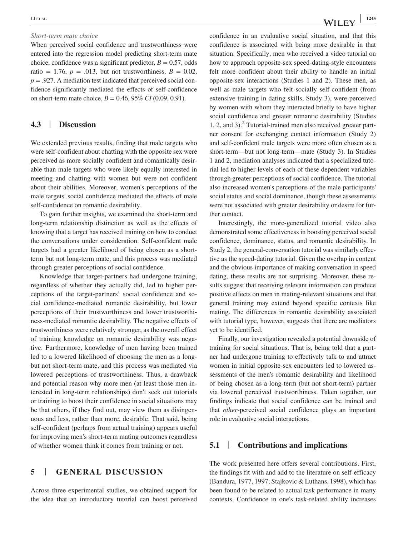#### *Short-term mate choice*

When perceived social confidence and trustworthiness were entered into the regression model predicting short-term mate choice, confidence was a significant predictor,  $B = 0.57$ , odds ratio = 1.76,  $p = .013$ , but not trustworthiness,  $B = 0.02$ ,  $p = .927$ . A mediation test indicated that perceived social confidence significantly mediated the effects of self-confidence on short-term mate choice,  $B = 0.46, 95\% \text{ CI } (0.09, 0.91)$ .

# **4.3** | **Discussion**

We extended previous results, finding that male targets who were self-confident about chatting with the opposite sex were perceived as more socially confident and romantically desirable than male targets who were likely equally interested in meeting and chatting with women but were not confident about their abilities. Moreover, women's perceptions of the male targets' social confidence mediated the effects of male self-confidence on romantic desirability.

To gain further insights, we examined the short-term and long-term relationship distinction as well as the effects of knowing that a target has received training on how to conduct the conversations under consideration. Self-confident male targets had a greater likelihood of being chosen as a shortterm but not long-term mate, and this process was mediated through greater perceptions of social confidence.

Knowledge that target-partners had undergone training, regardless of whether they actually did, led to higher perceptions of the target-partners' social confidence and social confidence-mediated romantic desirability, but lower perceptions of their trustworthiness and lower trustworthiness-mediated romantic desirability. The negative effects of trustworthiness were relatively stronger, as the overall effect of training knowledge on romantic desirability was negative. Furthermore, knowledge of men having been trained led to a lowered likelihood of choosing the men as a longbut not short-term mate, and this process was mediated via lowered perceptions of trustworthiness. Thus, a drawback and potential reason why more men (at least those men interested in long-term relationships) don't seek out tutorials or training to boost their confidence in social situations may be that others, if they find out, may view them as disingenuous and less, rather than more, desirable. That said, being self-confident (perhaps from actual training) appears useful for improving men's short-term mating outcomes regardless of whether women think it comes from training or not.

# **5** | **GENERAL DISCUSSION**

Across three experimental studies, we obtained support for the idea that an introductory tutorial can boost perceived

confidence in an evaluative social situation, and that this confidence is associated with being more desirable in that situation. Specifically, men who received a video tutorial on how to approach opposite-sex speed-dating-style encounters felt more confident about their ability to handle an initial opposite-sex interactions (Studies 1 and 2). These men, as well as male targets who felt socially self-confident (from extensive training in dating skills, Study 3), were perceived by women with whom they interacted briefly to have higher social confidence and greater romantic desirability (Studies 1, 2, and 3).<sup>2</sup> Tutorial-trained men also received greater partner consent for exchanging contact information (Study 2) and self-confident male targets were more often chosen as a short-term––but not long-term––mate (Study 3). In Studies 1 and 2, mediation analyses indicated that a specialized tutorial led to higher levels of each of these dependent variables through greater perceptions of social confidence. The tutorial also increased women's perceptions of the male participants' social status and social dominance, though these assessments were not associated with greater desirability or desire for further contact.

Interestingly, the more-generalized tutorial video also demonstrated some effectiveness in boosting perceived social confidence, dominance, status, and romantic desirability. In Study 2, the general-conversation tutorial was similarly effective as the speed-dating tutorial. Given the overlap in content and the obvious importance of making conversation in speed dating, these results are not surprising. Moreover, these results suggest that receiving relevant information can produce positive effects on men in mating-relevant situations and that general training may extend beyond specific contexts like mating. The differences in romantic desirability associated with tutorial type, however, suggests that there are mediators yet to be identified.

Finally, our investigation revealed a potential downside of training for social situations. That is, being told that a partner had undergone training to effectively talk to and attract women in initial opposite-sex encounters led to lowered assessments of the men's romantic desirability and likelihood of being chosen as a long-term (but not short-term) partner via lowered perceived trustworthiness. Taken together, our findings indicate that social confidence can be trained and that *other*-perceived social confidence plays an important role in evaluative social interactions.

## **5.1** | **Contributions and implications**

The work presented here offers several contributions. First, the findings fit with and add to the literature on self-efficacy (Bandura, 1977, 1997; Stajkovic & Luthans, 1998), which has been found to be related to actual task performance in many contexts. Confidence in one's task-related ability increases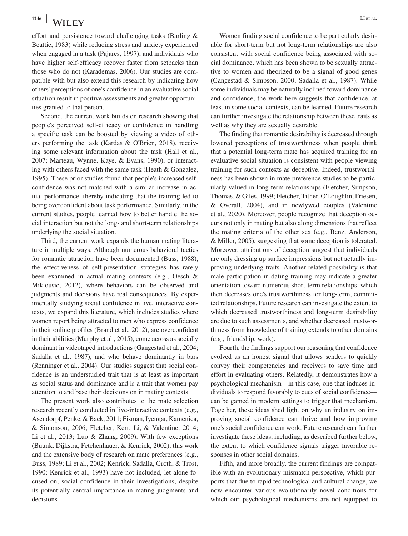effort and persistence toward challenging tasks (Barling & Beattie, 1983) while reducing stress and anxiety experienced when engaged in a task (Pajares, 1997), and individuals who have higher self-efficacy recover faster from setbacks than those who do not (Karademas, 2006). Our studies are compatible with but also extend this research by indicating how others' perceptions of one's confidence in an evaluative social situation result in positive assessments and greater opportunities granted to that person.

Second, the current work builds on research showing that people's perceived self-efficacy or confidence in handling a specific task can be boosted by viewing a video of others performing the task (Kardas & O'Brien, 2018), receiving some relevant information about the task (Hall et al., 2007; Marteau, Wynne, Kaye, & Evans, 1990), or interacting with others faced with the same task (Heath & Gonzalez, 1995). These prior studies found that people's increased selfconfidence was not matched with a similar increase in actual performance, thereby indicating that the training led to being overconfident about task performance. Similarly, in the current studies, people learned how to better handle the social interaction but not the long- and short-term relationships underlying the social situation.

Third, the current work expands the human mating literature in multiple ways. Although numerous behavioral tactics for romantic attraction have been documented (Buss, 1988), the effectiveness of self-presentation strategies has rarely been examined in actual mating contexts (e.g., Oesch & Miklousic, 2012), where behaviors can be observed and judgments and decisions have real consequences. By experimentally studying social confidence in live, interactive contexts, we expand this literature, which includes studies where women report being attracted to men who express confidence in their online profiles (Brand et al., 2012), are overconfident in their abilities (Murphy et al., 2015), come across as socially dominant in videotaped introductions (Gangestad et al., 2004; Sadalla et al., 1987), and who behave dominantly in bars (Renninger et al., 2004). Our studies suggest that social confidence is an understudied trait that is at least as important as social status and dominance and is a trait that women pay attention to and base their decisions on in mating contexts.

The present work also contributes to the mate selection research recently conducted in live-interactive contexts (e.g., Asendorpf, Penke, & Back, 2011; Fisman, Iyengar, Kamenica, & Simonson, 2006; Fletcher, Kerr, Li, & Valentine, 2014; Li et al.,  $2013$ ; Luo & Zhang,  $2009$ ). With few exceptions (Buunk, Dijkstra, Fetchenhauer, & Kenrick, 2002), this work and the extensive body of research on mate preferences (e.g., Buss, 1989; Li et al., 2002; Kenrick, Sadalla, Groth, & Trost, 1990; Kenrick et al., 1993) have not included, let alone focused on, social confidence in their investigations, despite its potentially central importance in mating judgments and decisions.

Women finding social confidence to be particularly desirable for short-term but not long-term relationships are also consistent with social confidence being associated with social dominance, which has been shown to be sexually attractive to women and theorized to be a signal of good genes (Gangestad & Simpson, 2000; Sadalla et al., 1987). While some individuals may be naturally inclined toward dominance and confidence, the work here suggests that confidence, at least in some social contexts, can be learned. Future research can further investigate the relationship between these traits as well as why they are sexually desirable.

The finding that romantic desirability is decreased through lowered perceptions of trustworthiness when people think that a potential long-term mate has acquired training for an evaluative social situation is consistent with people viewing training for such contexts as deceptive. Indeed, trustworthiness has been shown in mate preference studies to be particularly valued in long-term relationships (Fletcher, Simpson, Thomas, & Giles, 1999; Fletcher, Tither, O'Loughlin, Friesen, & Overall, 2004), and in newlywed couples (Valentine et al., 2020). Moreover, people recognize that deception occurs not only in mating but also along dimensions that reflect the mating criteria of the other sex (e.g., Benz, Anderson, & Miller, 2005), suggesting that some deception is tolerated. Moreover, attributions of deception suggest that individuals are only dressing up surface impressions but not actually improving underlying traits. Another related possibility is that male participation in dating training may indicate a greater orientation toward numerous short-term relationships, which then decreases one's trustworthiness for long-term, committed relationships. Future research can investigate the extent to which decreased trustworthiness and long-term desirability are due to such assessments, and whether decreased trustworthiness from knowledge of training extends to other domains (e.g., friendship, work).

Fourth, the findings support our reasoning that confidence evolved as an honest signal that allows senders to quickly convey their competencies and receivers to save time and effort in evaluating others. Relatedly, it demonstrates how a psychological mechanism––in this case, one that induces individuals to respond favorably to cues of social confidence–– can be gamed in modern settings to trigger that mechanism. Together, these ideas shed light on why an industry on improving social confidence can thrive and how improving one's social confidence can work. Future research can further investigate these ideas, including, as described further below, the extent to which confidence signals trigger favorable responses in other social domains.

Fifth, and more broadly, the current findings are compatible with an evolutionary mismatch perspective, which purports that due to rapid technological and cultural change, we now encounter various evolutionarily novel conditions for which our psychological mechanisms are not equipped to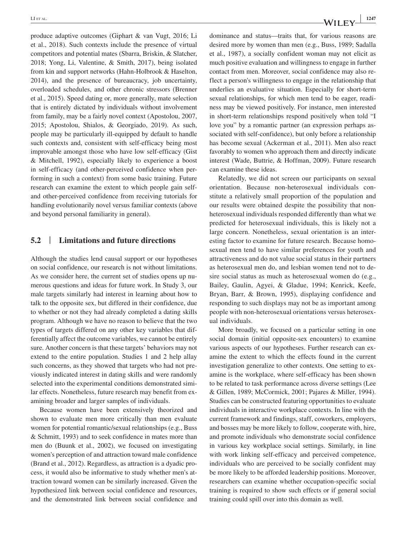produce adaptive outcomes (Giphart & van Vugt, 2016; Li et al., 2018). Such contexts include the presence of virtual competitors and potential mates (Sbarra, Briskin, & Slatcher, 2018; Yong, Li, Valentine, & Smith, 2017), being isolated from kin and support networks (Hahn-Holbrook & Haselton, 2014), and the presence of bureaucracy, job uncertainty, overloaded schedules, and other chronic stressors (Brenner et al., 2015). Speed dating or, more generally, mate selection that is entirely dictated by individuals without involvement from family, may be a fairly novel context (Apostolou, 2007, 2015; Apostolou, Shialos, & Georgiado, 2019). As such, people may be particularly ill-equipped by default to handle such contexts and, consistent with self-efficacy being most improvable amongst those who have low self-efficacy (Gist & Mitchell, 1992), especially likely to experience a boost in self-efficacy (and other-perceived confidence when performing in such a context) from some basic training. Future research can examine the extent to which people gain selfand other-perceived confidence from receiving tutorials for handling evolutionarily novel versus familiar contexts (above and beyond personal familiarity in general).

# **5.2** | **Limitations and future directions**

Although the studies lend causal support or our hypotheses on social confidence, our research is not without limitations. As we consider here, the current set of studies opens up numerous questions and ideas for future work. In Study 3, our male targets similarly had interest in learning about how to talk to the opposite sex, but differed in their confidence, due to whether or not they had already completed a dating skills program. Although we have no reason to believe that the two types of targets differed on any other key variables that differentially affect the outcome variables, we cannot be entirely sure. Another concern is that these targets' behaviors may not extend to the entire population. Studies 1 and 2 help allay such concerns, as they showed that targets who had not previously indicated interest in dating skills and were randomly selected into the experimental conditions demonstrated similar effects. Nonetheless, future research may benefit from examining broader and larger samples of individuals.

Because women have been extensively theorized and shown to evaluate men more critically than men evaluate women for potential romantic/sexual relationships (e.g., Buss & Schmitt, 1993) and to seek confidence in mates more than men do (Buunk et al., 2002), we focused on investigating women's perception of and attraction toward male confidence (Brand et al., 2012). Regardless, as attraction is a dyadic process, it would also be informative to study whether men's attraction toward women can be similarly increased. Given the hypothesized link between social confidence and resources, and the demonstrated link between social confidence and dominance and status––traits that, for various reasons are desired more by women than men (e.g., Buss, 1989; Sadalla et al., 1987), a socially confident woman may not elicit as much positive evaluation and willingness to engage in further contact from men. Moreover, social confidence may also reflect a person's willingness to engage in the relationship that underlies an evaluative situation. Especially for short-term sexual relationships, for which men tend to be eager, readiness may be viewed positively. For instance, men interested in short-term relationships respond positively when told "I love you" by a romantic partner (an expression perhaps associated with self-confidence), but only before a relationship has become sexual (Ackerman et al., 2011). Men also react favorably to women who approach them and directly indicate interest (Wade, Buttrie, & Hoffman, 2009). Future research can examine these ideas.

Relatedly, we did not screen our participants on sexual orientation. Because non-heterosexual individuals constitute a relatively small proportion of the population and our results were obtained despite the possibility that nonheterosexual individuals responded differently than what we predicted for heterosexual individuals, this is likely not a large concern. Nonetheless, sexual orientation is an interesting factor to examine for future research. Because homosexual men tend to have similar preferences for youth and attractiveness and do not value social status in their partners as heterosexual men do, and lesbian women tend not to desire social status as much as heterosexual women do (e.g., Bailey, Gaulin, Agyei, & Gladue, 1994; Kenrick, Keefe, Bryan, Barr, & Brown, 1995), displaying confidence and responding to such displays may not be as important among people with non-heterosexual orientations versus heterosexual individuals.

More broadly, we focused on a particular setting in one social domain (initial opposite-sex encounters) to examine various aspects of our hypotheses. Further research can examine the extent to which the effects found in the current investigation generalize to other contexts. One setting to examine is the workplace, where self-efficacy has been shown to be related to task performance across diverse settings (Lee & Gillen, 1989; McCormick, 2001; Pajares & Miller, 1994). Studies can be constructed featuring opportunities to evaluate individuals in interactive workplace contexts. In line with the current framework and findings, staff, coworkers, employers, and bosses may be more likely to follow, cooperate with, hire, and promote individuals who demonstrate social confidence in various key workplace social settings. Similarly, in line with work linking self-efficacy and perceived competence, individuals who are perceived to be socially confident may be more likely to be afforded leadership positions. Moreover, researchers can examine whether occupation-specific social training is required to show such effects or if general social training could spill over into this domain as well.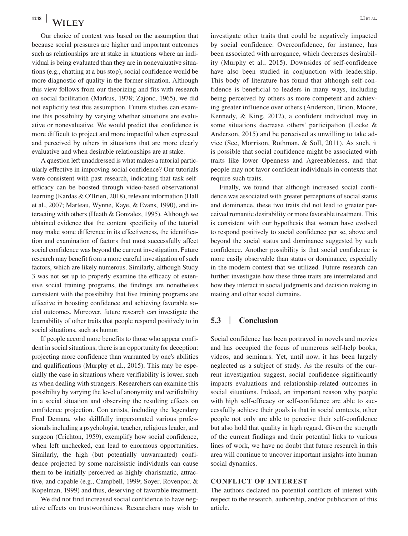Our choice of context was based on the assumption that because social pressures are higher and important outcomes such as relationships are at stake in situations where an individual is being evaluated than they are in nonevaluative situations (e.g., chatting at a bus stop), social confidence would be more diagnostic of quality in the former situation. Although this view follows from our theorizing and fits with research on social facilitation (Markus, 1978; Zajonc, 1965), we did not explicitly test this assumption. Future studies can examine this possibility by varying whether situations are evaluative or nonevaluative. We would predict that confidence is more difficult to project and more impactful when expressed and perceived by others in situations that are more clearly evaluative and when desirable relationships are at stake.

A question left unaddressed is what makes a tutorial particularly effective in improving social confidence? Our tutorials were consistent with past research, indicating that task selfefficacy can be boosted through video-based observational learning (Kardas & O'Brien, 2018), relevant information (Hall et al., 2007; Marteau, Wynne, Kaye, & Evans, 1990), and interacting with others (Heath & Gonzalez, 1995). Although we obtained evidence that the content specificity of the tutorial may make some difference in its effectiveness, the identification and examination of factors that most successfully affect social confidence was beyond the current investigation. Future research may benefit from a more careful investigation of such factors, which are likely numerous. Similarly, although Study 3 was not set up to properly examine the efficacy of extensive social training programs, the findings are nonetheless consistent with the possibility that live training programs are effective in boosting confidence and achieving favorable social outcomes. Moreover, future research can investigate the learnability of other traits that people respond positively to in social situations, such as humor.

If people accord more benefits to those who appear confident in social situations, there is an opportunity for deception: projecting more confidence than warranted by one's abilities and qualifications (Murphy et al., 2015). This may be especially the case in situations where verifiability is lower, such as when dealing with strangers. Researchers can examine this possibility by varying the level of anonymity and verifiability in a social situation and observing the resulting effects on confidence projection. Con artists, including the legendary Fred Demara, who skillfully impersonated various professionals including a psychologist, teacher, religious leader, and surgeon (Crichton, 1959), exemplify how social confidence, when left unchecked, can lead to enormous opportunities. Similarly, the high (but potentially unwarranted) confidence projected by some narcissistic individuals can cause them to be initially perceived as highly charismatic, attractive, and capable (e.g., Campbell, 1999; Soyer, Rovenpor, & Kopelman, 1999) and thus, deserving of favorable treatment.

We did not find increased social confidence to have negative effects on trustworthiness. Researchers may wish to investigate other traits that could be negatively impacted by social confidence. Overconfidence, for instance, has been associated with arrogance, which decreases desirability (Murphy et al., 2015). Downsides of self-confidence have also been studied in conjunction with leadership. This body of literature has found that although self-confidence is beneficial to leaders in many ways, including being perceived by others as more competent and achieving greater influence over others (Anderson, Brion, Moore, Kennedy, & King, 2012), a confident individual may in some situations decrease others' participation (Locke & Anderson, 2015) and be perceived as unwilling to take advice (See, Morrison, Rothman, & Soll, 2011). As such, it is possible that social confidence might be associated with traits like lower Openness and Agreeableness, and that people may not favor confident individuals in contexts that require such traits.

Finally, we found that although increased social confidence was associated with greater perceptions of social status and dominance, these two traits did not lead to greater perceived romantic desirability or more favorable treatment. This is consistent with our hypothesis that women have evolved to respond positively to social confidence per se, above and beyond the social status and dominance suggested by such confidence. Another possibility is that social confidence is more easily observable than status or dominance, especially in the modern context that we utilized. Future research can further investigate how these three traits are interrelated and how they interact in social judgments and decision making in mating and other social domains.

# **5.3** | **Conclusion**

Social confidence has been portrayed in novels and movies and has occupied the focus of numerous self-help books, videos, and seminars. Yet, until now, it has been largely neglected as a subject of study. As the results of the current investigation suggest, social confidence significantly impacts evaluations and relationship-related outcomes in social situations. Indeed, an important reason why people with high self-efficacy or self-confidence are able to successfully achieve their goals is that in social contexts, other people not only are able to perceive their self-confidence but also hold that quality in high regard. Given the strength of the current findings and their potential links to various lines of work, we have no doubt that future research in this area will continue to uncover important insights into human social dynamics.

#### **CONFLICT OF INTEREST**

The authors declared no potential conflicts of interest with respect to the research, authorship, and/or publication of this article.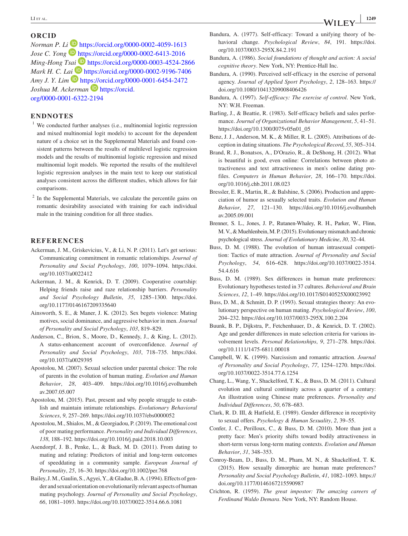#### **ORCID**

*Norman P. L[i](https://orcid.org/0000-0002-6413-2016)* **D** <https://orcid.org/0000-0002-4059-1613> *Jose C. Yong* **b** <https://orcid.org/0000-0002-6413-2016> *Ming-Hong Ts[ai](https://orcid.org/0000-0002-9196-7406)* **ID** <https://orcid.org/0000-0003-4524-2866> *Mark H. C. L[ai](https://orcid.org/0000-0001-6454-2472)* **D** <https://orcid.org/0000-0002-9196-7406> *Amy J. Y. Lim* **D** <https://orcid.org/0000-0001-6454-2472> *Joshua M. Ackerman* **D** [https://orcid.](https://orcid.org/0000-0001-6322-2194) [org/0000-0001-6322-2194](https://orcid.org/0000-0001-6322-2194)

#### **ENDNOTES**

- <sup>1</sup> We conducted further analyses (i.e., multinomial logistic regression and mixed multinomial logit models) to account for the dependent nature of a choice set in the Supplemental Materials and found consistent patterns between the results of multilevel logistic regression models and the results of multinomial logistic regression and mixed multinomial logit models. We reported the results of the multilevel logistic regression analyses in the main text to keep our statistical analyses consistent across the different studies, which allows for fair comparisons.
- <sup>2</sup> In the Supplemental Materials, we calculate the percentile gains on romantic desirability associated with training for each individual male in the training condition for all three studies.

#### **REFERENCES**

- Ackerman, J. M., Griskevicius, V., & Li, N. P. (2011). Let's get serious: Communicating commitment in romantic relationships. *Journal of Personality and Social Psychology*, *100*, 1079–1094. [https://doi.](https://doi.org/10.1037/a0022412) [org/10.1037/a0022412](https://doi.org/10.1037/a0022412)
- Ackerman, J. M., & Kenrick, D. T. (2009). Cooperative courtship: Helping friends raise and raze relationship barriers. *Personality and Social Psychology Bulletin*, *35*, 1285–1300. [https://doi.](https://doi.org/10.1177/0146167209335640) [org/10.1177/0146167209335640](https://doi.org/10.1177/0146167209335640)
- Ainsworth, S. E., & Maner, J. K. (2012). Sex begets violence: Mating motives, social dominance, and aggressive behavior in men. *Journal of Personality and Social Psychology*, *103*, 819–829.
- Anderson, C., Brion, S., Moore, D., Kennedy, J., & King, L. (2012). A status-enhancement account of overconfidence. *Journal of Personality and Social Psychology*, *103*, 718–735. [https://doi.](https://doi.org/10.1037/a0029395) [org/10.1037/a0029395](https://doi.org/10.1037/a0029395)
- Apostolou, M. (2007). Sexual selection under parental choice: The role of parents in the evolution of human mating. *Evolution and Human Behavior*, *28*, 403–409. [https://doi.org/10.1016/j.evolhumbeh](https://doi.org/10.1016/j.evolhumbehav.2007.05.007) [av.2007.05.007](https://doi.org/10.1016/j.evolhumbehav.2007.05.007)
- Apostolou, M. (2015). Past, present and why people struggle to establish and maintain intimate relationships. *Evolutionary Behavioral Sciences*, *9*, 257–269. <https://doi.org/10.1037/ebs0000052>
- Apostolou, M., Shialos, M., & Georgiadou, P. (2019). The emotional cost of poor mating performance. *Personality and Individual Differences*, *138*, 188–192. <https://doi.org/10.1016/j.paid.2018.10.003>
- Asendorpf, J. B., Penke, L., & Back, M. D. (2011). From dating to mating and relating: Predictors of initial and long-term outcomes of speeddating in a community sample. *European Journal of Personality*, *25*, 16–30. <https://doi.org/10.1002/per.768>
- Bailey, J. M., Gaulin, S., Agyei, Y., & Gladue, B. A. (1994). Effects of gender and sexual orientation on evolutionarily relevant aspects of human mating psychology. *Journal of Personality and Social Psychology*, *66*, 1081–1093.<https://doi.org/10.1037/0022-3514.66.6.1081>
- Bandura, A. (1977). Self-efficacy: Toward a unifying theory of behavioral change. *Psychological Review*, *84*, 191. [https://doi.](https://doi.org/10.1037/0033-295X.84.2.191) [org/10.1037/0033-295X.84.2.191](https://doi.org/10.1037/0033-295X.84.2.191)
- Bandura, A. (1986). *Social foundations of thought and action: A social cognitive theory*. New York, NY: Prentice-Hall Inc.
- Bandura, A. (1990). Perceived self-efficacy in the exercise of personal agency. *Journal of Applied Sport Psychology*, *2*, 128–163. [https://](https://doi.org/10.1080/10413209008406426) [doi.org/10.1080/10413209008406426](https://doi.org/10.1080/10413209008406426)
- Bandura, A. (1997). *Self-efficacy: The exercise of control*. New York, NY: W.H. Freeman.
- Barling, J., & Beattie, R. (1983). Self-efficacy beliefs and sales performance. *Journal of Organizational Behavior Management*, *5*, 41–51. [https://doi.org/10.1300/J075v05n01\\_05](https://doi.org/10.1300/J075v05n01_05)
- Benz, J. J., Anderson, M. K., & Miller, R. L. (2005). Attributions of deception in dating situations. *The Psychological Record*, *55*, 305–314.
- Brand, R. J., Bonatsos, A., D'Orazio, R., & DeShong, H. (2012). What is beautiful is good, even online: Correlations between photo attractiveness and text attractiveness in men's online dating profiles. *Computers in Human Behavior*, *28*, 166–170. [https://doi.](https://doi.org/10.1016/j.chb.2011.08.023) [org/10.1016/j.chb.2011.08.023](https://doi.org/10.1016/j.chb.2011.08.023)
- Bressler, E. R., Martin, R., & Balshine, S. (2006). Production and appreciation of humor as sexually selected traits. *Evolution and Human Behavior*, *27*, 121–130. [https://doi.org/10.1016/j.evolhumbeh](https://doi.org/10.1016/j.evolhumbehav.2005.09.001) [av.2005.09.001](https://doi.org/10.1016/j.evolhumbehav.2005.09.001)
- Brenner, S. L., Jones, J. P., Rutanen-Whaley, R. H., Parker, W., Flinn, M. V., & Muehlenbein, M. P. (2015). Evolutionary mismatch and chronic psychological stress. *Journal of Evolutionary Medicine*, *30*, 32–44.
- Buss, D. M. (1988). The evolution of human intrasexual competition: Tactics of mate attraction. *Journal of Personality and Social Psychology*, *54*, 616–628. [https://doi.org/10.1037/0022-3514.](https://doi.org/10.1037/0022-3514.54.4.616) [54.4.616](https://doi.org/10.1037/0022-3514.54.4.616)
- Buss, D. M. (1989). Sex differences in human mate preferences: Evolutionary hypotheses tested in 37 cultures. *Behavioral and Brain Sciences*, *12*, 1–49.<https://doi.org/10.1017/S0140525X00023992>
- Buss, D. M., & Schmitt, D. P. (1993). Sexual strategies theory: An evolutionary perspective on human mating. *Psychological Review*, *100*, 204–232. <https://doi.org/10.1037/0033-295X.100.2.204>
- Buunk, B. P., Dijkstra, P., Fetchenhauer, D., & Kenrick, D. T. (2002). Age and gender differences in mate selection criteria for various involvement levels. *Personal Relationships*, *9*, 271–278. [https://doi.](https://doi.org/10.1111/1475-6811.00018) [org/10.1111/1475-6811.00018](https://doi.org/10.1111/1475-6811.00018)
- Campbell, W. K. (1999). Narcissism and romantic attraction. *Journal of Personality and Social Psychology*, *77*, 1254–1270. [https://doi.](https://doi.org/10.1037/0022-3514.77.6.1254) [org/10.1037/0022-3514.77.6.1254](https://doi.org/10.1037/0022-3514.77.6.1254)
- Chang, L., Wang, Y., Shackelford, T. K., & Buss, D. M. (2011). Cultural evolution and cultural continuity across a quarter of a century: An illustration using Chinese mate preferences. *Personality and Individual Differences*, *50*, 678–683.
- Clark, R. D. III, & Hatfield, E. (1989). Gender difference in receptivity to sexual offers. *Psychology & Human Sexuality*, *2*, 39–55.
- Confer, J. C., Perilloux, C., & Buss, D. M. (2010). More than just a pretty face: Men's priority shifts toward bodily attractiveness in short-term versus long-term mating contexts. *Evolution and Human Behavior*, *31*, 348–353.
- Conroy-Beam, D., Buss, D. M., Pham, M. N., & Shackelford, T. K. (2015). How sexually dimorphic are human mate preferences? *Personality and Social Psychology Bulletin*, *41*, 1082–1093. [https://](https://doi.org/10.1177/0146167215590987) [doi.org/10.1177/0146167215590987](https://doi.org/10.1177/0146167215590987)
- Crichton, R. (1959). *The great impostor: The amazing careers of Ferdinand Waldo Demara*. New York, NY: Random House.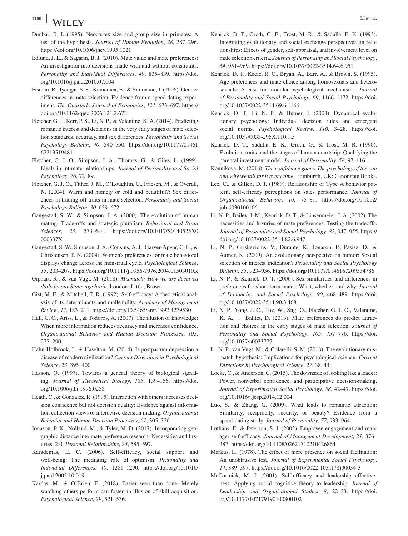- **<sup>1250</sup> <sup>|</sup>** LI et al.
- Dunbar, R. I. (1995). Neocortex size and group size in primates: A test of the hypothesis. *Journal of Human Evolution*, *28*, 287–296. <https://doi.org/10.1006/jhev.1995.1021>
- Edlund, J. E., & Sagarin, B. J. (2010). Mate value and mate preferences: An investigation into decisions made with and without constraints. *Personality and Individual Differences*, *49*, 835–839. [https://doi.](https://doi.org/10.1016/j.paid.2010.07.004) [org/10.1016/j.paid.2010.07.004](https://doi.org/10.1016/j.paid.2010.07.004)
- Fisman, R., Iyengar, S. S., Kamenica, E., & Simonson, I. (2006). Gender differences in mate selection: Evidence from a speed dating experiment. *The Quarterly Journal of Economics*, *121*, 673–697. [https://](https://doi.org/10.1162/qjec.2006.121.2.673) [doi.org/10.1162/qjec.2006.121.2.673](https://doi.org/10.1162/qjec.2006.121.2.673)
- Fletcher, G. J., Kerr, P. S., Li, N. P., & Valentine, K. A. (2014). Predicting romantic interest and decisions in the very early stages of mate selection standards, accuracy, and sex differences. *Personality and Social Psychology Bulletin*, *40*, 540–550. [https://doi.org/10.1177/01461](https://doi.org/10.1177/0146167213519481) [67213519481](https://doi.org/10.1177/0146167213519481)
- Fletcher, G. J. O., Simpson, J. A., Thomas, G., & Giles, L. (1999). Ideals in intimate relationships. *Journal of Personality and Social Psychology*, *76*, 72–89.
- Fletcher, G. J. O., Tither, J. M., O'Loughlin, C., Friesen, M., & Overall, N. (2004). Warm and homely or cold and beautiful?: Sex differences in trading off traits in mate selection. *Personality and Social Psychology Bulletin*, *30*, 659–672.
- Gangestad, S. W., & Simpson, J. A. (2000). The evolution of human mating: Trade-offs and strategic pluralism. *Behavioral and Brain Sciences*, *23*, 573–644. [https://doi.org/10.1017/S0140525X0](https://doi.org/10.1017/S0140525X0000337X) [000337X](https://doi.org/10.1017/S0140525X0000337X)
- Gangestad, S. W., Simpson, J. A., Cousins, A. J., Garver-Apgar, C. E., & Christensen, P. N. (2004). Women's preferences for male behavioral displays change across the menstrual cycle. *Psychological Science*, *15*, 203–207.<https://doi.org/10.1111/j.0956-7976.2004.01503010.x>
- Giphart, R., & van Vugt, M. (2018). *Mismatch: How we are deceived daily by our Stone age brain*. London: Little, Brown.
- Gist, M. E., & Mitchell, T. R. (1992). Self-efficacy: A theoretical analysis of its determinants and malleability. *Academy of Management Review*, *17*, 183–211. <https://doi.org/10.5465/amr.1992.4279530>
- Hall, C. C., Ariss, L., & Todorov, A. (2007). The illusion of knowledge: When more information reduces accuracy and increases confidence. *Organizational Behavior and Human Decision Processes*, *103*, 277–290.
- Hahn-Holbrook, J., & Haselton, M. (2014). Is postpartum depression a disease of modern civilization? *Current Directions in Psychological Science*, *23*, 395–400.
- Hasson, O. (1997). Towards a general theory of biological signaling. *Journal of Theoretical Biology*, *185*, 139–156. [https://doi.](https://doi.org/10.1006/jtbi.1996.0258) [org/10.1006/jtbi.1996.0258](https://doi.org/10.1006/jtbi.1996.0258)
- Heath, C., & Gonzalez, R. (1995). Interaction with others increases decision confidence but not decision quality: Evidence against information collection views of interactive decision making. *Organizational Behavior and Human Decision Processes*, *61*, 305–326.
- Jonason, P. K., Nolland, M., & Tyler, M. D. (2017). Incorporating geographic distance into mate preference research: Necessities and luxuries, 2.0. *Personal Relationships*, *24*, 585–597.
- Karademas, E. C. (2006). Self-efficacy, social support and well-being: The mediating role of optimism. *Personality and Individual Differences*, *40*, 1281–1290. [https://doi.org/10.1016/](https://doi.org/10.1016/j.paid.2005.10.019) [j.paid.2005.10.019](https://doi.org/10.1016/j.paid.2005.10.019)
- Kardas, M., & O'Brien, E. (2018). Easier seen than done: Merely watching others perform can foster an illusion of skill acquisition. *Psychological Science*, *29*, 521–536.
- Kenrick, D. T., Groth, G. E., Trost, M. R., & Sadalla, E. K. (1993). Integrating evolutionary and social exchange perspectives on relationships: Effects of gender, self-appraisal, and involvement level on mate selection criteria. *Journal of Personality and Social Psychology*, *64*, 951–969.<https://doi.org/10.1037/0022-3514.64.6.951>
- Kenrick, D. T., Keefe, R. C., Bryan, A., Barr, A., & Brown, S. (1995). Age preferences and mate choice among homosexuals and heterosexuals: A case for modular psychological mechanisms. *Journal of Personality and Social Psychology*, *69*, 1166–1172. [https://doi.](https://doi.org/10.1037/0022-3514.69.6.1166) [org/10.1037/0022-3514.69.6.1166](https://doi.org/10.1037/0022-3514.69.6.1166)
- Kenrick, D. T., Li, N. P., & Butner, J. (2003). Dynamical evolutionary psychology: Individual decision rules and emergent social norms. *Psychological Review*, *110*, 3–28. [https://doi.](https://doi.org/10.1037/0033-295X.110.1.3) [org/10.1037/0033-295X.110.1.3](https://doi.org/10.1037/0033-295X.110.1.3)
- Kenrick, D. T., Sadalla, E. K., Groth, G., & Trost, M. R. (1990). Evolution, traits, and the stages of human courtship: Qualifying the parental investment model. *Journal of Personality*, *58*, 97–116.
- Konnikova, M. (2016). *The confidence game: The psychology of the con and why we fall for it every time*. Edinburgh, UK: Canongate Books.
- Lee, C., & Gillen, D. J. (1989). Relationship of Type A behavior pattern, self-efficacy perceptions on sales performance. *Journal of Organizational Behavior*, *10*, 75–81. [https://doi.org/10.1002/](https://doi.org/10.1002/job.4030100106) [job.4030100106](https://doi.org/10.1002/job.4030100106)
- Li, N. P., Bailey, J. M., Kenrick, D. T., & Linsenmeier, J. A. (2002). The necessities and luxuries of mate preferences: Testing the tradeoffs. *Journal of Personality and Social Psychology*, *82*, 947–955. [https://](https://doi.org/10.1037/0022-3514.82.6.947) [doi.org/10.1037/0022-3514.82.6.947](https://doi.org/10.1037/0022-3514.82.6.947)
- Li, N. P., Griskevicius, V., Durante, K., Jonason, P., Pasisz, D., & Aumer, K. (2009). An evolutionary perspective on humor: Sexual selection or interest indication? *Personality and Social Psychology Bulletin*, *35*, 923–936.<https://doi.org/10.1177/0146167209334786>
- Li, N. P., & Kenrick, D. T. (2006). Sex similarities and differences in preferences for short-term mates: What, whether, and why. *Journal of Personality and Social Psychology*, *90*, 468–489. [https://doi.](https://doi.org/10.1037/0022-3514.90.3.468) [org/10.1037/0022-3514.90.3.468](https://doi.org/10.1037/0022-3514.90.3.468)
- Li, N. P., Yong, J. C., Tov, W., Sng, O., Fletcher, G. J. O., Valentine, K. A., … Balliet, D. (2013). Mate preferences do predict attraction and choices in the early stages of mate selection. *Journal of Personality and Social Psychology*, *105*, 757–776. [https://doi.](https://doi.org/10.1037/a0033777) [org/10.1037/a0033777](https://doi.org/10.1037/a0033777)
- Li, N. P., van Vugt, M., & Colarelli, S. M. (2018). The evolutionary mismatch hypothesis: Implications for psychological science. *Current Directions in Psychological Science*, *27*, 38–44.
- Locke, C., & Anderson, C. (2015). The downside of looking like a leader: Power, nonverbal confidence, and participative decision-making. *Journal of Experimental Social Psychology*, *58*, 42–47. [https://doi.](https://doi.org/10.1016/j.jesp.2014.12.004) [org/10.1016/j.jesp.2014.12.004](https://doi.org/10.1016/j.jesp.2014.12.004)
- Luo, S., & Zhang, G. (2009). What leads to romantic attraction: Similarity, reciprocity, security, or beauty? Evidence from a speed-dating study. *Journal of Personality*, *77*, 933–964.
- Luthans, F., & Peterson, S. J. (2002). Employee engagement and manager self-efficacy. *Journal of Management Development*, *21*, 376– 387. <https://doi.org/10.1108/02621710210426864>
- Markus, H. (1978). The effect of mere presence on social facilitation: An unobtrusive test. *Journal of Experimental Social Psychology*, *14*, 389–397. [https://doi.org/10.1016/0022-1031\(78\)90034-3](https://doi.org/10.1016/0022-1031(78)90034-3)
- McCormick, M. J. (2001). Self-efficacy and leadership effectiveness: Applying social cognitive theory to leadership. *Journal of Leadership and Organizational Studies*, *8*, 22–33. [https://doi.](https://doi.org/10.1177/107179190100800102) [org/10.1177/107179190100800102](https://doi.org/10.1177/107179190100800102)